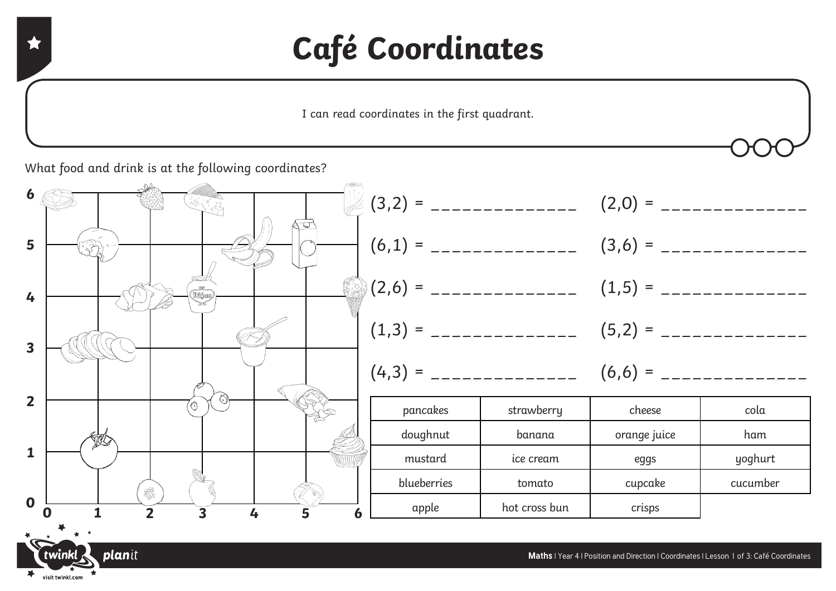## **Café Coordinates**

I can read coordinates in the first quadrant.

What food and drink is at the following coordinates?

visit twinkl.com

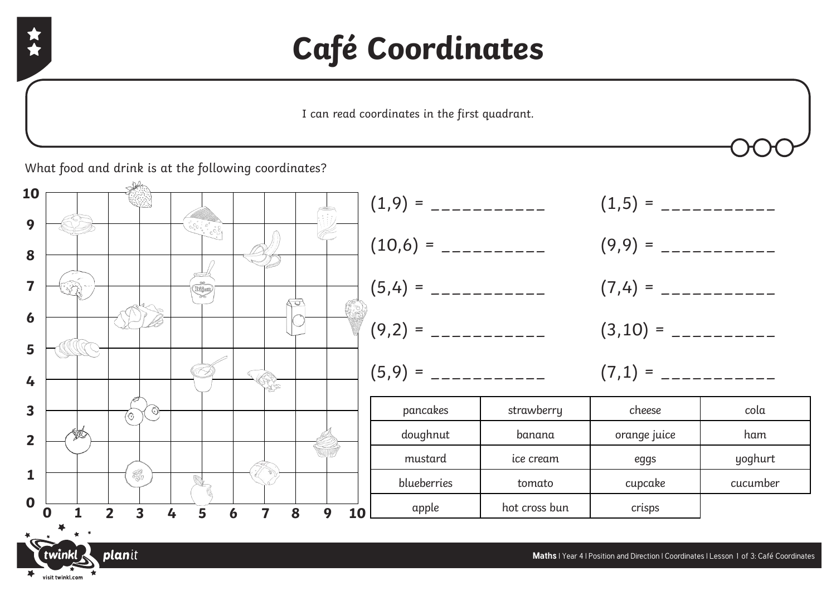## **Café Coordinates**

I can read coordinates in the first quadrant.

What food and drink is at the following coordinates?



visit twinkl.com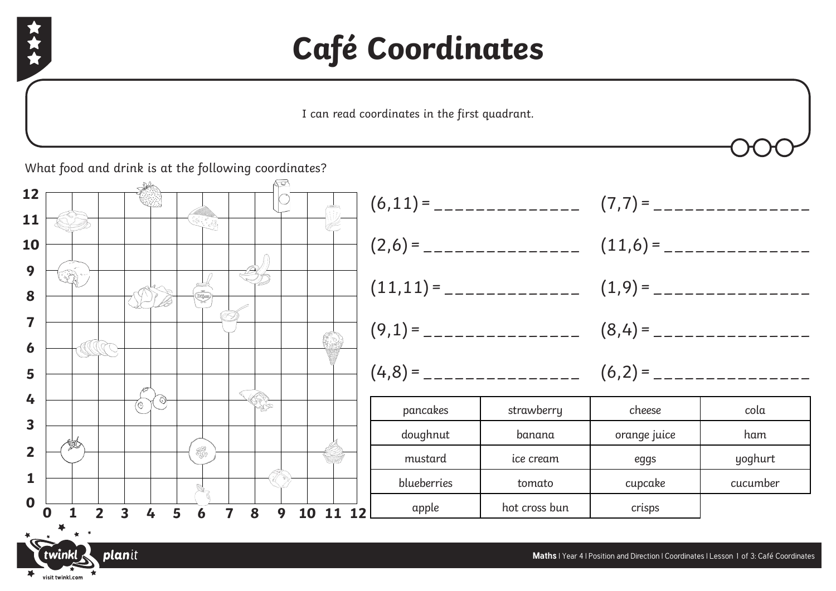

visit twinkl.com

## **Café Coordinates**

I can read coordinates in the first quadrant.

What food and drink is at the following coordinates?